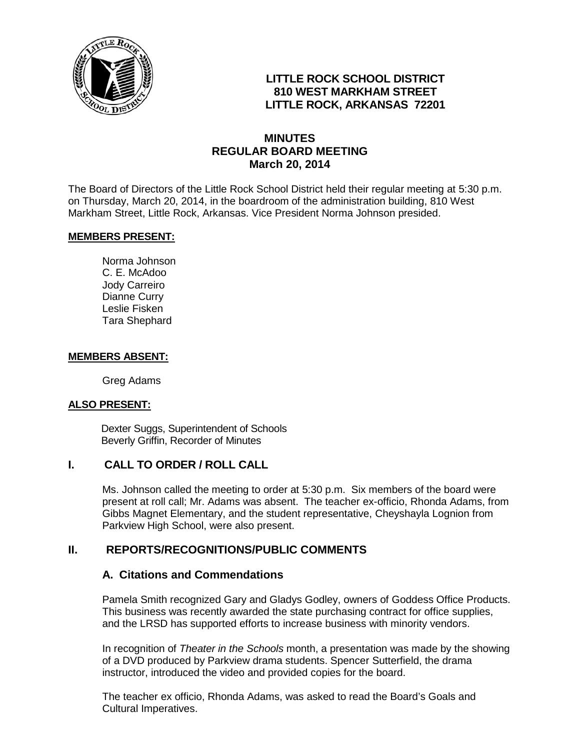

# **LITTLE ROCK SCHOOL DISTRICT 810 WEST MARKHAM STREET LITTLE ROCK, ARKANSAS 72201**

## **MINUTES REGULAR BOARD MEETING March 20, 2014**

The Board of Directors of the Little Rock School District held their regular meeting at 5:30 p.m. on Thursday, March 20, 2014, in the boardroom of the administration building, 810 West Markham Street, Little Rock, Arkansas. Vice President Norma Johnson presided.

#### **MEMBERS PRESENT:**

Norma Johnson C. E. McAdoo Jody Carreiro Dianne Curry Leslie Fisken Tara Shephard

#### **MEMBERS ABSENT:**

Greg Adams

#### **ALSO PRESENT:**

 Dexter Suggs, Superintendent of Schools Beverly Griffin, Recorder of Minutes

#### **I. CALL TO ORDER / ROLL CALL**

Ms. Johnson called the meeting to order at 5:30 p.m. Six members of the board were present at roll call; Mr. Adams was absent. The teacher ex-officio, Rhonda Adams, from Gibbs Magnet Elementary, and the student representative, Cheyshayla Lognion from Parkview High School, were also present.

## **II. REPORTS/RECOGNITIONS/PUBLIC COMMENTS**

#### **A. Citations and Commendations**

Pamela Smith recognized Gary and Gladys Godley, owners of Goddess Office Products. This business was recently awarded the state purchasing contract for office supplies, and the LRSD has supported efforts to increase business with minority vendors.

In recognition of *Theater in the Schools* month, a presentation was made by the showing of a DVD produced by Parkview drama students. Spencer Sutterfield, the drama instructor, introduced the video and provided copies for the board.

The teacher ex officio, Rhonda Adams, was asked to read the Board's Goals and Cultural Imperatives.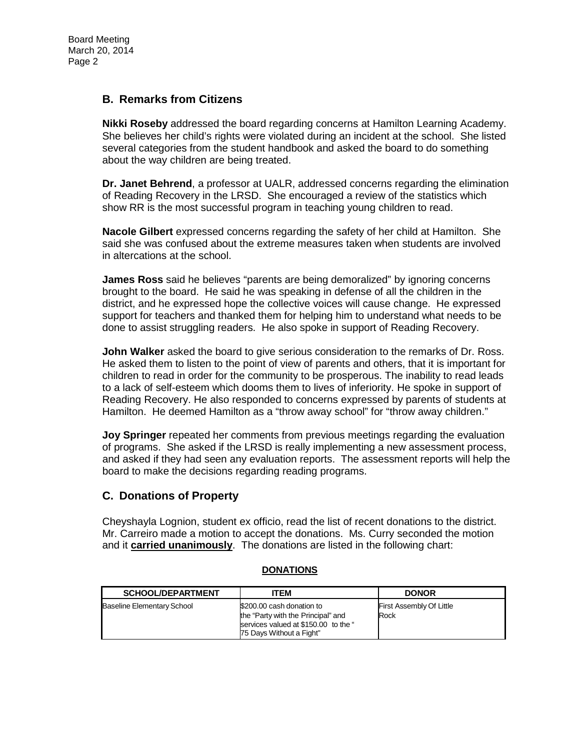## **B. Remarks from Citizens**

**Nikki Roseby** addressed the board regarding concerns at Hamilton Learning Academy. She believes her child's rights were violated during an incident at the school. She listed several categories from the student handbook and asked the board to do something about the way children are being treated.

**Dr. Janet Behrend**, a professor at UALR, addressed concerns regarding the elimination of Reading Recovery in the LRSD. She encouraged a review of the statistics which show RR is the most successful program in teaching young children to read.

**Nacole Gilbert** expressed concerns regarding the safety of her child at Hamilton. She said she was confused about the extreme measures taken when students are involved in altercations at the school.

**James Ross** said he believes "parents are being demoralized" by ignoring concerns brought to the board. He said he was speaking in defense of all the children in the district, and he expressed hope the collective voices will cause change. He expressed support for teachers and thanked them for helping him to understand what needs to be done to assist struggling readers. He also spoke in support of Reading Recovery.

**John Walker** asked the board to give serious consideration to the remarks of Dr. Ross. He asked them to listen to the point of view of parents and others, that it is important for children to read in order for the community to be prosperous. The inability to read leads to a lack of self-esteem which dooms them to lives of inferiority. He spoke in support of Reading Recovery. He also responded to concerns expressed by parents of students at Hamilton. He deemed Hamilton as a "throw away school" for "throw away children."

**Joy Springer** repeated her comments from previous meetings regarding the evaluation of programs. She asked if the LRSD is really implementing a new assessment process, and asked if they had seen any evaluation reports. The assessment reports will help the board to make the decisions regarding reading programs.

## **C. Donations of Property**

Cheyshayla Lognion, student ex officio, read the list of recent donations to the district. Mr. Carreiro made a motion to accept the donations. Ms. Curry seconded the motion and it **carried unanimously**. The donations are listed in the following chart:

#### **SCHOOL/DEPARTMENT ITEM ITEM DONOR** Baseline Elementary School \$200.00 cash donation to the "Party with the Principal" and services valued at \$150.00 to the " 75 Days Without a Fight" First Assembly Of Little Rock

#### **DONATIONS**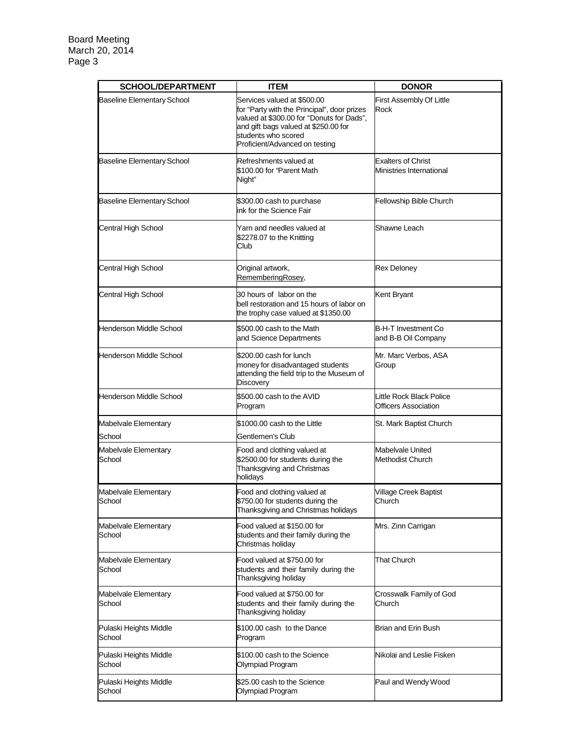| <b>SCHOOL/DEPARTMENT</b>          | <b>ITEM</b>                                                                                                                                                                                                              | <b>DONOR</b>                                            |
|-----------------------------------|--------------------------------------------------------------------------------------------------------------------------------------------------------------------------------------------------------------------------|---------------------------------------------------------|
| <b>Baseline Elementary School</b> | Services valued at \$500.00<br>for "Party with the Principal", door prizes<br>valued at \$300.00 for "Donuts for Dads",<br>and gift bags valued at \$250.00 for<br>students who scored<br>Proficient/Advanced on testing | First Assembly Of Little<br>Rock                        |
| <b>Baseline Elementary School</b> | Refreshments valued at<br>\$100.00 for "Parent Math<br>Night"                                                                                                                                                            | <b>Exalters of Christ</b><br>Ministries International   |
| <b>Baseline Elementary School</b> | \$300.00 cash to purchase<br>ink for the Science Fair                                                                                                                                                                    | Fellowship Bible Church                                 |
| Central High School               | Yarn and needles valued at<br>\$2278.07 to the Knitting<br>Club                                                                                                                                                          | Shawne Leach                                            |
| Central High School               | Original artwork,<br>RememberingRosey,                                                                                                                                                                                   | <b>Rex Deloney</b>                                      |
| Central High School               | 30 hours of labor on the<br>bell restoration and 15 hours of labor on<br>the trophy case valued at \$1350.00                                                                                                             | Kent Bryant                                             |
| Henderson Middle School           | \$500.00 cash to the Math<br>and Science Departments                                                                                                                                                                     | <b>B-H-T Investment Co</b><br>and B-B Oil Company       |
| Henderson Middle School           | \$200.00 cash for lunch<br>money for disadvantaged students<br>attending the field trip to the Museum of<br>Discovery                                                                                                    | Mr. Marc Verbos, ASA<br>Group                           |
| <b>Henderson Middle School</b>    | \$500.00 cash to the AVID<br>Program                                                                                                                                                                                     | Little Rock Black Police<br><b>Officers Association</b> |
| Mabelvale Elementary<br>School    | \$1000.00 cash to the Little<br>Gentlemen's Club                                                                                                                                                                         | St. Mark Baptist Church                                 |
| Mabelvale Elementary<br>School    | Food and clothing valued at<br>\$2500.00 for students during the<br>Thanksgiving and Christmas<br>holidays                                                                                                               | Mabelvale United<br>Methodist Church                    |
| Mabelvale Elementary<br>School    | Food and clothing valued at<br>\$750.00 for students during the<br>Thanksgiving and Christmas holidays                                                                                                                   | <b>Village Creek Baptist</b><br>Church                  |
| Mabelvale Elementary<br>School    | Food valued at \$150.00 for<br>students and their family during the<br>Christmas holiday                                                                                                                                 | Mrs. Zinn Carrigan                                      |
| Mabelvale Elementary<br>School    | Food valued at \$750.00 for<br>students and their family during the<br>Thanksgiving holiday                                                                                                                              | <b>That Church</b>                                      |
| Mabelvale Elementary<br>School    | Food valued at \$750.00 for<br>students and their family during the<br>Thanksgiving holiday                                                                                                                              | Crosswalk Family of God<br>Church                       |
| Pulaski Heights Middle<br>School  | \$100.00 cash to the Dance<br>Program                                                                                                                                                                                    | Brian and Erin Bush                                     |
| Pulaski Heights Middle<br>School  | \$100.00 cash to the Science<br>Olympiad Program                                                                                                                                                                         | Nikolai and Leslie Fisken                               |
| Pulaski Heights Middle<br>School  | \$25.00 cash to the Science<br>Olympiad Program                                                                                                                                                                          | Paul and Wendy Wood                                     |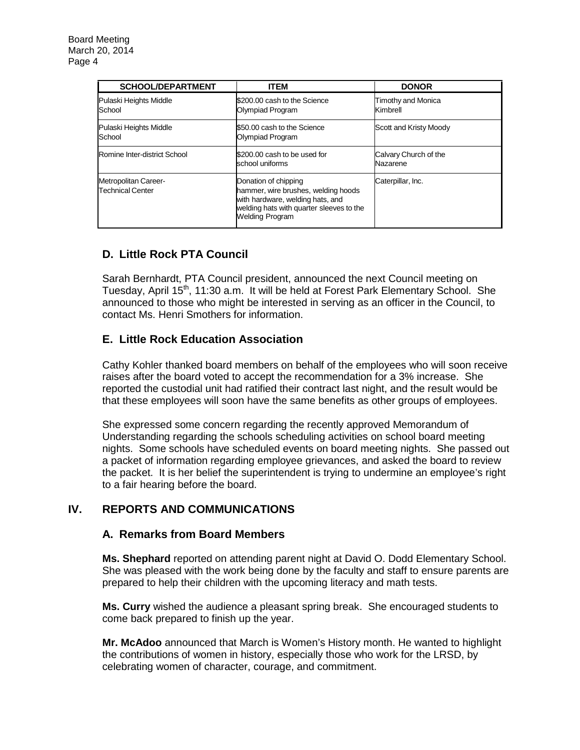| <b>SCHOOL/DEPARTMENT</b>                        | <b>ITEM</b>                                                                                                                                                           | <b>DONOR</b>                      |
|-------------------------------------------------|-----------------------------------------------------------------------------------------------------------------------------------------------------------------------|-----------------------------------|
| Pulaski Heights Middle<br>School                | \$200.00 cash to the Science<br>Olympiad Program                                                                                                                      | Timothy and Monica<br>Kimbrell    |
| Pulaski Heights Middle<br>School                | \$50.00 cash to the Science<br>Olympiad Program                                                                                                                       | Scott and Kristy Moody            |
| Romine Inter-district School                    | \$200,00 cash to be used for<br>school uniforms                                                                                                                       | Calvary Church of the<br>Nazarene |
| Metropolitan Career-<br><b>Technical Center</b> | Donation of chipping<br>hammer, wire brushes, welding hoods<br>with hardware, welding hats, and<br>welding hats with quarter sleeves to the<br><b>Welding Program</b> | Caterpillar, Inc.                 |

# **D. Little Rock PTA Council**

Sarah Bernhardt, PTA Council president, announced the next Council meeting on Tuesday, April 15<sup>th</sup>, 11:30 a.m. It will be held at Forest Park Elementary School. She announced to those who might be interested in serving as an officer in the Council, to contact Ms. Henri Smothers for information.

# **E. Little Rock Education Association**

Cathy Kohler thanked board members on behalf of the employees who will soon receive raises after the board voted to accept the recommendation for a 3% increase. She reported the custodial unit had ratified their contract last night, and the result would be that these employees will soon have the same benefits as other groups of employees.

She expressed some concern regarding the recently approved Memorandum of Understanding regarding the schools scheduling activities on school board meeting nights. Some schools have scheduled events on board meeting nights. She passed out a packet of information regarding employee grievances, and asked the board to review the packet. It is her belief the superintendent is trying to undermine an employee's right to a fair hearing before the board.

## **IV. REPORTS AND COMMUNICATIONS**

#### **A. Remarks from Board Members**

**Ms. Shephard** reported on attending parent night at David O. Dodd Elementary School. She was pleased with the work being done by the faculty and staff to ensure parents are prepared to help their children with the upcoming literacy and math tests.

**Ms. Curry** wished the audience a pleasant spring break. She encouraged students to come back prepared to finish up the year.

**Mr. McAdoo** announced that March is Women's History month. He wanted to highlight the contributions of women in history, especially those who work for the LRSD, by celebrating women of character, courage, and commitment.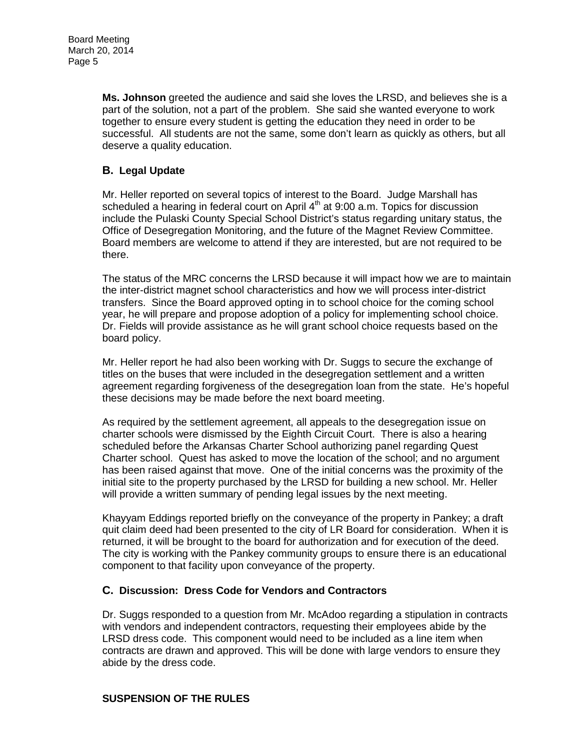**Ms. Johnson** greeted the audience and said she loves the LRSD, and believes she is a part of the solution, not a part of the problem. She said she wanted everyone to work together to ensure every student is getting the education they need in order to be successful. All students are not the same, some don't learn as quickly as others, but all deserve a quality education.

## **B. Legal Update**

Mr. Heller reported on several topics of interest to the Board. Judge Marshall has scheduled a hearing in federal court on April  $4<sup>th</sup>$  at 9:00 a.m. Topics for discussion include the Pulaski County Special School District's status regarding unitary status, the Office of Desegregation Monitoring, and the future of the Magnet Review Committee. Board members are welcome to attend if they are interested, but are not required to be there.

The status of the MRC concerns the LRSD because it will impact how we are to maintain the inter-district magnet school characteristics and how we will process inter-district transfers. Since the Board approved opting in to school choice for the coming school year, he will prepare and propose adoption of a policy for implementing school choice. Dr. Fields will provide assistance as he will grant school choice requests based on the board policy.

Mr. Heller report he had also been working with Dr. Suggs to secure the exchange of titles on the buses that were included in the desegregation settlement and a written agreement regarding forgiveness of the desegregation loan from the state. He's hopeful these decisions may be made before the next board meeting.

As required by the settlement agreement, all appeals to the desegregation issue on charter schools were dismissed by the Eighth Circuit Court. There is also a hearing scheduled before the Arkansas Charter School authorizing panel regarding Quest Charter school. Quest has asked to move the location of the school; and no argument has been raised against that move. One of the initial concerns was the proximity of the initial site to the property purchased by the LRSD for building a new school. Mr. Heller will provide a written summary of pending legal issues by the next meeting.

Khayyam Eddings reported briefly on the conveyance of the property in Pankey; a draft quit claim deed had been presented to the city of LR Board for consideration. When it is returned, it will be brought to the board for authorization and for execution of the deed. The city is working with the Pankey community groups to ensure there is an educational component to that facility upon conveyance of the property.

#### **C. Discussion: Dress Code for Vendors and Contractors**

Dr. Suggs responded to a question from Mr. McAdoo regarding a stipulation in contracts with vendors and independent contractors, requesting their employees abide by the LRSD dress code. This component would need to be included as a line item when contracts are drawn and approved. This will be done with large vendors to ensure they abide by the dress code.

#### **SUSPENSION OF THE RULES**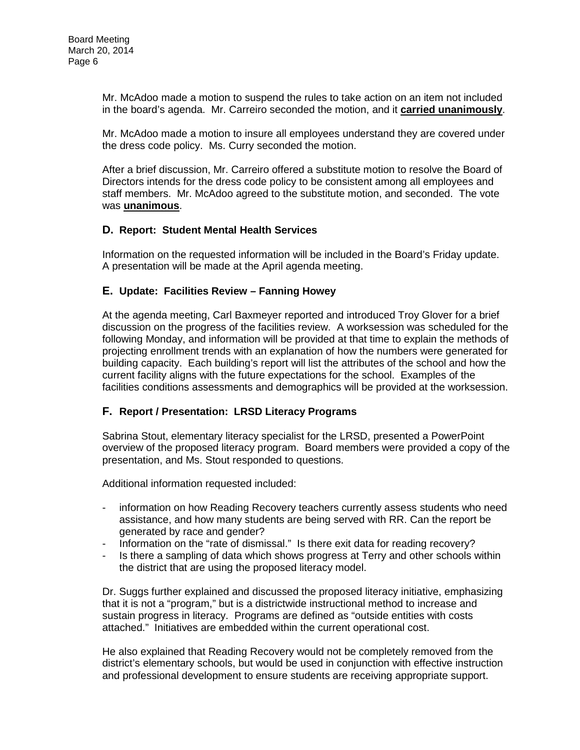Mr. McAdoo made a motion to suspend the rules to take action on an item not included in the board's agenda. Mr. Carreiro seconded the motion, and it **carried unanimously**.

Mr. McAdoo made a motion to insure all employees understand they are covered under the dress code policy. Ms. Curry seconded the motion.

After a brief discussion, Mr. Carreiro offered a substitute motion to resolve the Board of Directors intends for the dress code policy to be consistent among all employees and staff members. Mr. McAdoo agreed to the substitute motion, and seconded. The vote was **unanimous**.

#### **D. Report: Student Mental Health Services**

Information on the requested information will be included in the Board's Friday update. A presentation will be made at the April agenda meeting.

## **E. Update: Facilities Review – Fanning Howey**

At the agenda meeting, Carl Baxmeyer reported and introduced Troy Glover for a brief discussion on the progress of the facilities review. A worksession was scheduled for the following Monday, and information will be provided at that time to explain the methods of projecting enrollment trends with an explanation of how the numbers were generated for building capacity. Each building's report will list the attributes of the school and how the current facility aligns with the future expectations for the school. Examples of the facilities conditions assessments and demographics will be provided at the worksession.

#### **F. Report / Presentation: LRSD Literacy Programs**

Sabrina Stout, elementary literacy specialist for the LRSD, presented a PowerPoint overview of the proposed literacy program. Board members were provided a copy of the presentation, and Ms. Stout responded to questions.

Additional information requested included:

- information on how Reading Recovery teachers currently assess students who need assistance, and how many students are being served with RR. Can the report be generated by race and gender?
- Information on the "rate of dismissal." Is there exit data for reading recovery?
- Is there a sampling of data which shows progress at Terry and other schools within the district that are using the proposed literacy model.

Dr. Suggs further explained and discussed the proposed literacy initiative, emphasizing that it is not a "program," but is a districtwide instructional method to increase and sustain progress in literacy. Programs are defined as "outside entities with costs attached." Initiatives are embedded within the current operational cost.

He also explained that Reading Recovery would not be completely removed from the district's elementary schools, but would be used in conjunction with effective instruction and professional development to ensure students are receiving appropriate support.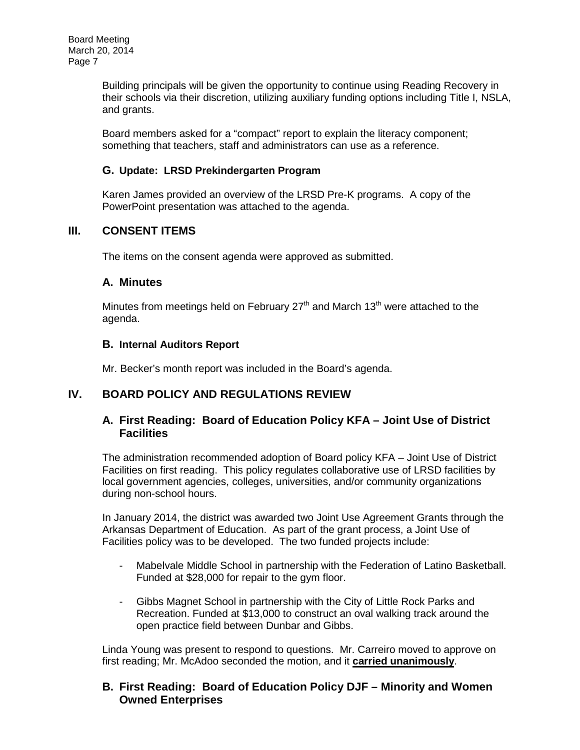Building principals will be given the opportunity to continue using Reading Recovery in their schools via their discretion, utilizing auxiliary funding options including Title I, NSLA, and grants.

Board members asked for a "compact" report to explain the literacy component; something that teachers, staff and administrators can use as a reference.

#### **G. Update: LRSD Prekindergarten Program**

Karen James provided an overview of the LRSD Pre-K programs. A copy of the PowerPoint presentation was attached to the agenda.

## **III. CONSENT ITEMS**

The items on the consent agenda were approved as submitted.

## **A. Minutes**

Minutes from meetings held on February  $27<sup>th</sup>$  and March 13<sup>th</sup> were attached to the agenda.

## **B. Internal Auditors Report**

Mr. Becker's month report was included in the Board's agenda.

# **IV. BOARD POLICY AND REGULATIONS REVIEW**

## **A. First Reading: Board of Education Policy KFA – Joint Use of District Facilities**

The administration recommended adoption of Board policy KFA – Joint Use of District Facilities on first reading. This policy regulates collaborative use of LRSD facilities by local government agencies, colleges, universities, and/or community organizations during non-school hours.

In January 2014, the district was awarded two Joint Use Agreement Grants through the Arkansas Department of Education. As part of the grant process, a Joint Use of Facilities policy was to be developed. The two funded projects include:

- Mabelvale Middle School in partnership with the Federation of Latino Basketball. Funded at \$28,000 for repair to the gym floor.
- Gibbs Magnet School in partnership with the City of Little Rock Parks and Recreation. Funded at \$13,000 to construct an oval walking track around the open practice field between Dunbar and Gibbs.

Linda Young was present to respond to questions. Mr. Carreiro moved to approve on first reading; Mr. McAdoo seconded the motion, and it **carried unanimously**.

## **B. First Reading: Board of Education Policy DJF – Minority and Women Owned Enterprises**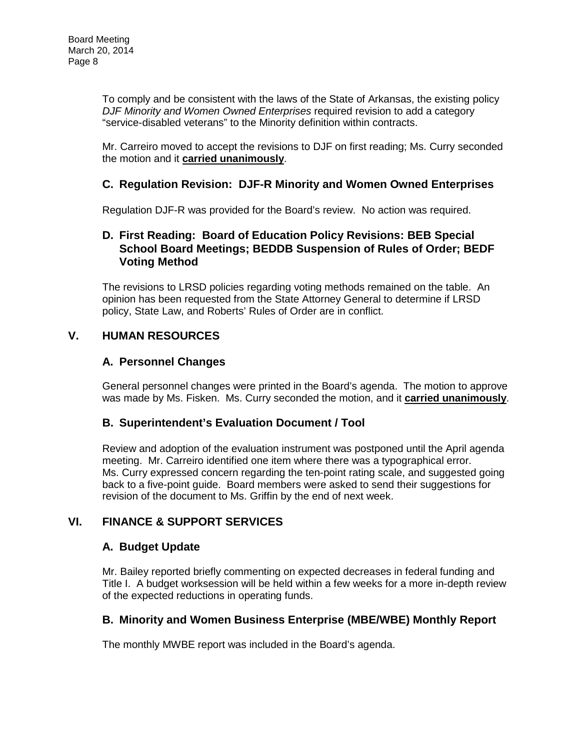To comply and be consistent with the laws of the State of Arkansas, the existing policy *DJF Minority and Women Owned Enterprises* required revision to add a category "service-disabled veterans" to the Minority definition within contracts.

Mr. Carreiro moved to accept the revisions to DJF on first reading; Ms. Curry seconded the motion and it **carried unanimously**.

## **C. Regulation Revision: DJF-R Minority and Women Owned Enterprises**

Regulation DJF-R was provided for the Board's review. No action was required.

## **D. First Reading: Board of Education Policy Revisions: BEB Special School Board Meetings; BEDDB Suspension of Rules of Order; BEDF Voting Method**

The revisions to LRSD policies regarding voting methods remained on the table. An opinion has been requested from the State Attorney General to determine if LRSD policy, State Law, and Roberts' Rules of Order are in conflict.

## **V. HUMAN RESOURCES**

## **A. Personnel Changes**

General personnel changes were printed in the Board's agenda. The motion to approve was made by Ms. Fisken. Ms. Curry seconded the motion, and it **carried unanimously**.

#### **B. Superintendent's Evaluation Document / Tool**

Review and adoption of the evaluation instrument was postponed until the April agenda meeting. Mr. Carreiro identified one item where there was a typographical error. Ms. Curry expressed concern regarding the ten-point rating scale, and suggested going back to a five-point guide. Board members were asked to send their suggestions for revision of the document to Ms. Griffin by the end of next week.

## **VI. FINANCE & SUPPORT SERVICES**

#### **A. Budget Update**

Mr. Bailey reported briefly commenting on expected decreases in federal funding and Title I. A budget worksession will be held within a few weeks for a more in-depth review of the expected reductions in operating funds.

## **B. Minority and Women Business Enterprise (MBE/WBE) Monthly Report**

The monthly MWBE report was included in the Board's agenda.